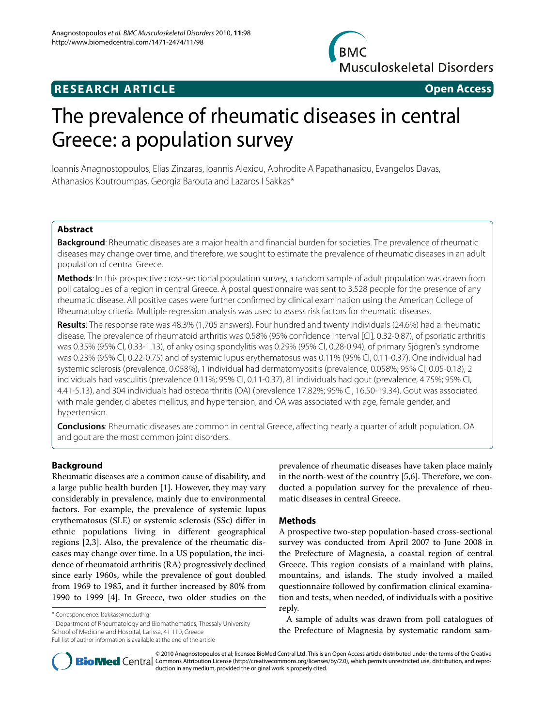**BMC Musculoskeletal Disorders** 

# **RESEARCH ARTICLE Open Access**

# The prevalence of rheumatic diseases in central Greece: a population survey

Ioannis Anagnostopoulos, Elias Zinzaras, Ioannis Alexiou, Aphrodite A Papathanasiou, Evangelos Davas, Athanasios Koutroumpas, Georgia Barouta and Lazaros I Sakkas\*

# **Abstract**

**Background**: Rheumatic diseases are a major health and financial burden for societies. The prevalence of rheumatic diseases may change over time, and therefore, we sought to estimate the prevalence of rheumatic diseases in an adult population of central Greece.

**Methods**: In this prospective cross-sectional population survey, a random sample of adult population was drawn from poll catalogues of a region in central Greece. A postal questionnaire was sent to 3,528 people for the presence of any rheumatic disease. All positive cases were further confirmed by clinical examination using the American College of Rheumatoloy criteria. Multiple regression analysis was used to assess risk factors for rheumatic diseases.

**Results**: The response rate was 48.3% (1,705 answers). Four hundred and twenty individuals (24.6%) had a rheumatic disease. The prevalence of rheumatoid arthritis was 0.58% (95% confidence interval [CI], 0.32-0.87), of psoriatic arthritis was 0.35% (95% CI, 0.33-1.13), of ankylosing spondylitis was 0.29% (95% CI, 0.28-0.94), of primary Sjögren's syndrome was 0.23% (95% CI, 0.22-0.75) and of systemic lupus erythematosus was 0.11% (95% CI, 0.11-0.37). One individual had systemic sclerosis (prevalence, 0.058%), 1 individual had dermatomyositis (prevalence, 0.058%; 95% CI, 0.05-0.18), 2 individuals had vasculitis (prevalence 0.11%; 95% CI, 0.11-0.37), 81 individuals had gout (prevalence, 4.75%; 95% CI, 4.41-5.13), and 304 individuals had osteoarthritis (OA) (prevalence 17.82%; 95% CI, 16.50-19.34). Gout was associated with male gender, diabetes mellitus, and hypertension, and OA was associated with age, female gender, and hypertension.

**Conclusions**: Rheumatic diseases are common in central Greece, affecting nearly a quarter of adult population. OA and gout are the most common joint disorders.

# **Background**

Rheumatic diseases are a common cause of disability, and a large public health burden [\[1](#page-6-0)]. However, they may vary considerably in prevalence, mainly due to environmental factors. For example, the prevalence of systemic lupus erythematosus (SLE) or systemic sclerosis (SSc) differ in ethnic populations living in different geographical regions [\[2](#page-6-1)[,3](#page-6-2)]. Also, the prevalence of the rheumatic diseases may change over time. In a US population, the incidence of rheumatoid arthritis (RA) progressively declined since early 1960s, while the prevalence of gout doubled from 1969 to 1985, and it further increased by 80% from 1990 to 1999 [[4\]](#page-6-3). In Greece, two older studies on the

<sup>1</sup> Department of Rheumatology and Biomathematics, Thessaly University School of Medicine and Hospital, Larissa, 41 110, Greece

Full list of author information is available at the end of the article

prevalence of rheumatic diseases have taken place mainly in the north-west of the country [\[5](#page-6-4)[,6](#page-6-5)]. Therefore, we conducted a population survey for the prevalence of rheumatic diseases in central Greece.

# **Methods**

A prospective two-step population-based cross-sectional survey was conducted from April 2007 to June 2008 in the Prefecture of Magnesia, a coastal region of central Greece. This region consists of a mainland with plains, mountains, and islands. The study involved a mailed questionnaire followed by confirmation clinical examination and tests, when needed, of individuals with a positive reply.

A sample of adults was drawn from poll catalogues of the Prefecture of Magnesia by systematic random sam-



© 2010 Anagnostopoulos et al; licensee BioMed Central Ltd. This is an Open Access article distributed under the terms of the Creative **Bio Med** Central Commons Attribution License (http://creativecommons.org/licenses/by/2.0), which permits unrestricted use, distribution, and reproduction in any medium, provided the original work is properly cited.

<sup>\*</sup> Correspondence: lsakkas@med.uth.gr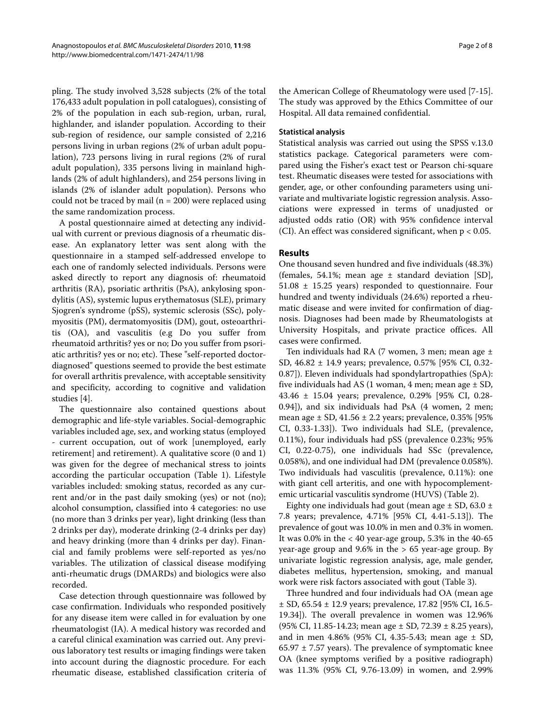pling. The study involved 3,528 subjects (2% of the total 176,433 adult population in poll catalogues), consisting of 2% of the population in each sub-region, urban, rural, highlander, and islander population. According to their sub-region of residence, our sample consisted of 2,216 persons living in urban regions (2% of urban adult population), 723 persons living in rural regions (2% of rural adult population), 335 persons living in mainland highlands (2% of adult highlanders), and 254 persons living in islands (2% of islander adult population). Persons who could not be traced by mail ( $n = 200$ ) were replaced using the same randomization process.

A postal questionnaire aimed at detecting any individual with current or previous diagnosis of a rheumatic disease. An explanatory letter was sent along with the questionnaire in a stamped self-addressed envelope to each one of randomly selected individuals. Persons were asked directly to report any diagnosis of: rheumatoid arthritis (RA), psoriatic arthritis (PsA), ankylosing spondylitis (AS), systemic lupus erythematosus (SLE), primary Sjogren's syndrome (pSS), systemic sclerosis (SSc), polymyositis (PM), dermatomyositis (DM), gout, osteoarthritis (OA), and vasculitis (e.g Do you suffer from rheumatoid arthritis? yes or no; Do you suffer from psoriatic arthritis? yes or no; etc). These "self-reported doctordiagnosed" questions seemed to provide the best estimate for overall arthritis prevalence, with acceptable sensitivity and specificity, according to cognitive and validation studies [[4\]](#page-6-3).

The questionnaire also contained questions about demographic and life-style variables. Social-demographic variables included age, sex, and working status (employed - current occupation, out of work [unemployed, early retirement] and retirement). A qualitative score (0 and 1) was given for the degree of mechanical stress to joints according the particular occupation (Table 1). Lifestyle variables included: smoking status, recorded as any current and/or in the past daily smoking (yes) or not (no); alcohol consumption, classified into 4 categories: no use (no more than 3 drinks per year), light drinking (less than 2 drinks per day), moderate drinking (2-4 drinks per day) and heavy drinking (more than 4 drinks per day). Financial and family problems were self-reported as yes/no variables. The utilization of classical disease modifying anti-rheumatic drugs (DMARDs) and biologics were also recorded.

Case detection through questionnaire was followed by case confirmation. Individuals who responded positively for any disease item were called in for evaluation by one rheumatologist (IA). A medical history was recorded and a careful clinical examination was carried out. Any previous laboratory test results or imaging findings were taken into account during the diagnostic procedure. For each rheumatic disease, established classification criteria of the American College of Rheumatology were used [[7](#page-6-6)[-15](#page-6-7)]. The study was approved by the Ethics Committee of our Hospital. All data remained confidential.

## **Statistical analysis**

Statistical analysis was carried out using the SPSS v.13.0 statistics package. Categorical parameters were compared using the Fisher's exact test or Pearson chi-square test. Rheumatic diseases were tested for associations with gender, age, or other confounding parameters using univariate and multivariate logistic regression analysis. Associations were expressed in terms of unadjusted or adjusted odds ratio (OR) with 95% confidence interval (CI). An effect was considered significant, when p < 0.05.

# **Results**

One thousand seven hundred and five individuals (48.3%) (females, 54.1%; mean age  $\pm$  standard deviation [SD], 51.08 ± 15.25 years) responded to questionnaire. Four hundred and twenty individuals (24.6%) reported a rheumatic disease and were invited for confirmation of diagnosis. Diagnoses had been made by Rheumatologists at University Hospitals, and private practice offices. All cases were confirmed.

Ten individuals had RA (7 women, 3 men; mean age ± SD, 46.82 ± 14.9 years; prevalence, 0.57% [95% CI, 0.32- 0.87]). Eleven individuals had spondylartropathies (SpA): five individuals had AS (1 woman, 4 men; mean age  $\pm$  SD, 43.46 ± 15.04 years; prevalence, 0.29% [95% CI, 0.28- 0.94]), and six individuals had PsA (4 women, 2 men; mean age  $\pm$  SD, 41.56  $\pm$  2.2 years; prevalence, 0.35% [95%] CI, 0.33-1.33]). Two individuals had SLE, (prevalence, 0.11%), four individuals had pSS (prevalence 0.23%; 95% CI, 0.22-0.75), one individuals had SSc (prevalence, 0.058%), and one individual had DM (prevalence 0.058%). Two individuals had vasculitis (prevalence, 0.11%): one with giant cell arteritis, and one with hypocomplementemic urticarial vasculitis syndrome (HUVS) (Table 2).

Eighty one individuals had gout (mean age  $\pm$  SD, 63.0  $\pm$ 7.8 years; prevalence, 4.71% [95% CI, 4.41-5.13]). The prevalence of gout was 10.0% in men and 0.3% in women. It was  $0.0\%$  in the  $< 40$  year-age group, 5.3% in the  $40-65$ year-age group and  $9.6\%$  in the  $> 65$  year-age group. By univariate logistic regression analysis, age, male gender, diabetes mellitus, hypertension, smoking, and manual work were risk factors associated with gout (Table 3).

Three hundred and four individuals had OA (mean age ± SD, 65.54 ± 12.9 years; prevalence, 17.82 [95% CI, 16.5- 19.34]). The overall prevalence in women was 12.96% (95% CI, 11.85-14.23; mean age  $\pm$  SD, 72.39  $\pm$  8.25 years), and in men 4.86% (95% CI, 4.35-5.43; mean age ± SD,  $65.97 \pm 7.57$  years). The prevalence of symptomatic knee OA (knee symptoms verified by a positive radiograph) was 11.3% (95% CI, 9.76-13.09) in women, and 2.99%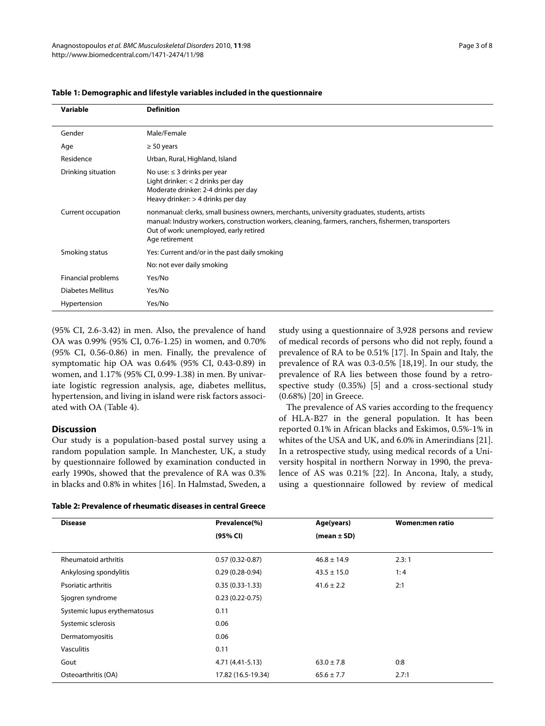| Variable           | <b>Definition</b>                                                                                                                                                                                                                                                |
|--------------------|------------------------------------------------------------------------------------------------------------------------------------------------------------------------------------------------------------------------------------------------------------------|
|                    |                                                                                                                                                                                                                                                                  |
| Gender             | Male/Female                                                                                                                                                                                                                                                      |
| Age                | $\geq 50$ years                                                                                                                                                                                                                                                  |
| Residence          | Urban, Rural, Highland, Island                                                                                                                                                                                                                                   |
| Drinking situation | No use: $\leq$ 3 drinks per year<br>Light drinker: < 2 drinks per day<br>Moderate drinker: 2-4 drinks per day<br>Heavy drinker: > 4 drinks per day                                                                                                               |
| Current occupation | nonmanual: clerks, small business owners, merchants, university graduates, students, artists<br>manual: Industry workers, construction workers, cleaning, farmers, ranchers, fishermen, transporters<br>Out of work: unemployed, early retired<br>Age retirement |
| Smoking status     | Yes: Current and/or in the past daily smoking                                                                                                                                                                                                                    |
|                    | No: not ever daily smoking                                                                                                                                                                                                                                       |
| Financial problems | Yes/No                                                                                                                                                                                                                                                           |
| Diabetes Mellitus  | Yes/No                                                                                                                                                                                                                                                           |
| Hypertension       | Yes/No                                                                                                                                                                                                                                                           |

**Table 1: Demographic and lifestyle variables included in the questionnaire**

(95% CI, 2.6-3.42) in men. Also, the prevalence of hand OA was 0.99% (95% CI, 0.76-1.25) in women, and 0.70% (95% CI, 0.56-0.86) in men. Finally, the prevalence of symptomatic hip OA was 0.64% (95% CI, 0.43-0.89) in women, and 1.17% (95% CI, 0.99-1.38) in men. By univariate logistic regression analysis, age, diabetes mellitus, hypertension, and living in island were risk factors associated with OA (Table 4).

# **Discussion**

Our study is a population-based postal survey using a random population sample. In Manchester, UK, a study by questionnaire followed by examination conducted in early 1990s, showed that the prevalence of RA was 0.3% in blacks and 0.8% in whites [[16](#page-6-8)]. In Halmstad, Sweden, a study using a questionnaire of 3,928 persons and review of medical records of persons who did not reply, found a prevalence of RA to be 0.51% [[17\]](#page-6-9). In Spain and Italy, the prevalence of RA was 0.3-0.5% [[18,](#page-6-10)[19\]](#page-6-11). In our study, the prevalence of RA lies between those found by a retrospective study (0.35%) [\[5\]](#page-6-4) and a cross-sectional study (0.68%) [\[20](#page-6-12)] in Greece.

The prevalence of AS varies according to the frequency of HLA-B27 in the general population. It has been reported 0.1% in African blacks and Eskimos, 0.5%-1% in whites of the USA and UK, and 6.0% in Amerindians [\[21](#page-6-13)]. In a retrospective study, using medical records of a University hospital in northern Norway in 1990, the prevalence of AS was 0.21% [[22](#page-6-14)]. In Ancona, Italy, a study, using a questionnaire followed by review of medical

| <b>Disease</b>               | Prevalence(%)       | Age(years)      | <b>Women:men ratio</b> |
|------------------------------|---------------------|-----------------|------------------------|
|                              | (95% CI)            | (mean $\pm$ SD) |                        |
| Rheumatoid arthritis         | $0.57(0.32 - 0.87)$ | $46.8 \pm 14.9$ | 2.3:1                  |
| Ankylosing spondylitis       | $0.29(0.28-0.94)$   | $43.5 \pm 15.0$ | 1:4                    |
| Psoriatic arthritis          | $0.35(0.33-1.33)$   | $41.6 \pm 2.2$  | 2:1                    |
| Sjogren syndrome             | $0.23(0.22 - 0.75)$ |                 |                        |
| Systemic lupus erythematosus | 0.11                |                 |                        |
| Systemic sclerosis           | 0.06                |                 |                        |
| Dermatomyositis              | 0.06                |                 |                        |
| <b>Vasculitis</b>            | 0.11                |                 |                        |
| Gout                         | 4.71 (4.41-5.13)    | $63.0 \pm 7.8$  | 0:8                    |
| Osteoarthritis (OA)          | 17.82 (16.5-19.34)  | $65.6 \pm 7.7$  | 2.7:1                  |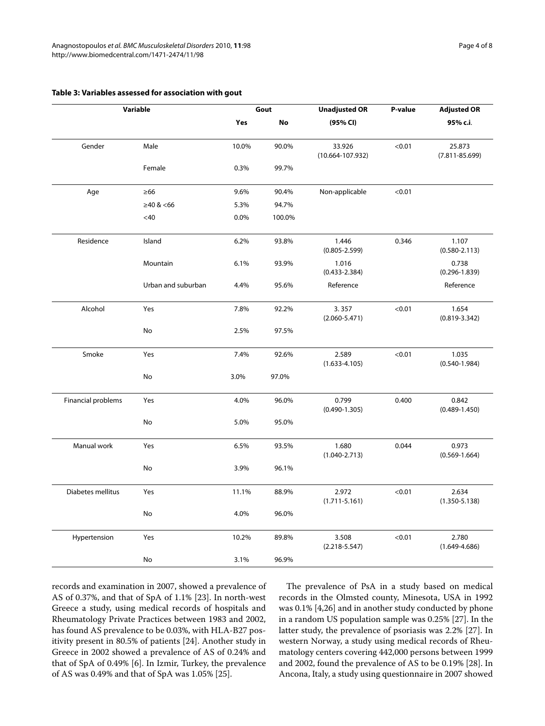|                    | Variable           | Gout  |        | <b>Unadjusted OR</b>           | P-value | <b>Adjusted OR</b>           |
|--------------------|--------------------|-------|--------|--------------------------------|---------|------------------------------|
|                    |                    | Yes   | No     | (95% CI)                       |         | 95% c.i.                     |
| Gender             | Male               | 10.0% | 90.0%  | 33.926<br>$(10.664 - 107.932)$ | < 0.01  | 25.873<br>$(7.811 - 85.699)$ |
|                    | Female             | 0.3%  | 99.7%  |                                |         |                              |
| Age                | $\geq 66$          | 9.6%  | 90.4%  | Non-applicable                 | < 0.01  |                              |
|                    | ≥40 <66            | 5.3%  | 94.7%  |                                |         |                              |
|                    | $<$ 40 $\,$        | 0.0%  | 100.0% |                                |         |                              |
| Residence          | Island             | 6.2%  | 93.8%  | 1.446<br>$(0.805 - 2.599)$     | 0.346   | 1.107<br>$(0.580 - 2.113)$   |
|                    | Mountain           | 6.1%  | 93.9%  | 1.016<br>$(0.433 - 2.384)$     |         | 0.738<br>$(0.296 - 1.839)$   |
|                    | Urban and suburban | 4.4%  | 95.6%  | Reference                      |         | Reference                    |
| Alcohol            | Yes                | 7.8%  | 92.2%  | 3.357<br>$(2.060 - 5.471)$     | < 0.01  | 1.654<br>$(0.819 - 3.342)$   |
|                    | No                 | 2.5%  | 97.5%  |                                |         |                              |
| Smoke              | Yes                | 7.4%  | 92.6%  | 2.589<br>$(1.633 - 4.105)$     | < 0.01  | 1.035<br>$(0.540 - 1.984)$   |
|                    | No                 | 3.0%  | 97.0%  |                                |         |                              |
| Financial problems | Yes                | 4.0%  | 96.0%  | 0.799<br>$(0.490 - 1.305)$     | 0.400   | 0.842<br>$(0.489 - 1.450)$   |
|                    | No                 | 5.0%  | 95.0%  |                                |         |                              |
| Manual work        | Yes                | 6.5%  | 93.5%  | 1.680<br>$(1.040 - 2.713)$     | 0.044   | 0.973<br>$(0.569 - 1.664)$   |
|                    | No                 | 3.9%  | 96.1%  |                                |         |                              |
| Diabetes mellitus  | Yes                | 11.1% | 88.9%  | 2.972<br>$(1.711 - 5.161)$     | < 0.01  | 2.634<br>$(1.350 - 5.138)$   |
|                    | No                 | 4.0%  | 96.0%  |                                |         |                              |
| Hypertension       | Yes                | 10.2% | 89.8%  | 3.508<br>$(2.218 - 5.547)$     | < 0.01  | 2.780<br>$(1.649 - 4.686)$   |
|                    | No                 | 3.1%  | 96.9%  |                                |         |                              |

# **Table 3: Variables assessed for association with gout**

records and examination in 2007, showed a prevalence of AS of 0.37%, and that of SpA of 1.1% [[23](#page-6-15)]. In north-west Greece a study, using medical records of hospitals and Rheumatology Private Practices between 1983 and 2002, has found AS prevalence to be 0.03%, with HLA-B27 positivity present in 80.5% of patients [[24](#page-6-16)]. Another study in Greece in 2002 showed a prevalence of AS of 0.24% and that of SpA of 0.49% [[6\]](#page-6-5). In Izmir, Turkey, the prevalence of AS was 0.49% and that of SpA was 1.05% [\[25](#page-6-17)].

The prevalence of PsA in a study based on medical records in the Olmsted county, Minesota, USA in 1992 was 0.1% [[4,](#page-6-3)[26\]](#page-6-18) and in another study conducted by phone in a random US population sample was 0.25% [[27\]](#page-6-19). In the latter study, the prevalence of psoriasis was 2.2% [[27\]](#page-6-19). In western Norway, a study using medical records of Rheumatology centers covering 442,000 persons between 1999 and 2002, found the prevalence of AS to be 0.19% [\[28](#page-6-20)]. In Ancona, Italy, a study using questionnaire in 2007 showed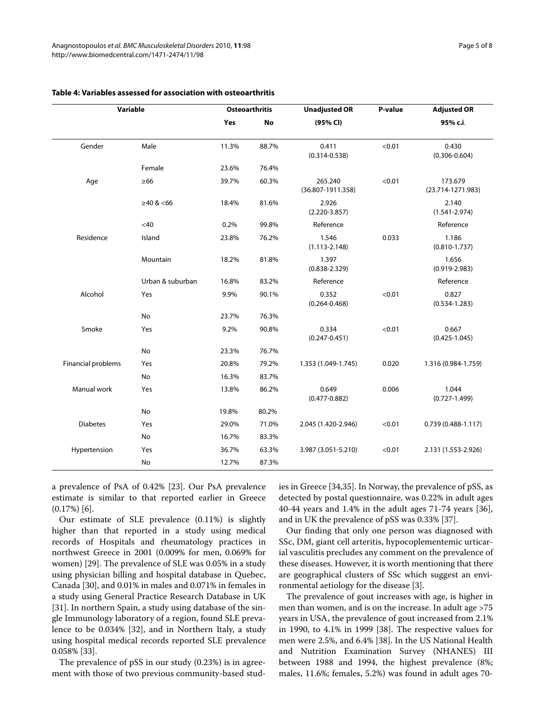| Variable           |                  | <b>Osteoarthritis</b> |       | <b>Unadjusted OR</b>             | P-value | <b>Adjusted OR</b>               |
|--------------------|------------------|-----------------------|-------|----------------------------------|---------|----------------------------------|
|                    |                  | Yes                   | No    | (95% CI)                         |         | 95% c.i.                         |
| Gender             | Male             | 11.3%                 | 88.7% | 0.411<br>$(0.314 - 0.538)$       | < 0.01  | 0.430<br>$(0.306 - 0.604)$       |
|                    | Female           | 23.6%                 | 76.4% |                                  |         |                                  |
| Age                | $\geq 66$        | 39.7%                 | 60.3% | 265.240<br>$(36.807 - 1911.358)$ | < 0.01  | 173.679<br>$(23.714 - 1271.983)$ |
|                    | $\geq 40$ & <66  | 18.4%                 | 81.6% | 2.926<br>$(2.220 - 3.857)$       |         | 2.140<br>$(1.541 - 2.974)$       |
|                    | <40              | 0.2%                  | 99.8% | Reference                        |         | Reference                        |
| Residence          | Island           | 23.8%                 | 76.2% | 1.546<br>$(1.113 - 2.148)$       | 0.033   | 1.186<br>$(0.810 - 1.737)$       |
|                    | Mountain         | 18.2%                 | 81.8% | 1.397<br>$(0.838 - 2.329)$       |         | 1.656<br>$(0.919 - 2.983)$       |
|                    | Urban & suburban | 16.8%                 | 83.2% | Reference                        |         | Reference                        |
| Alcohol            | Yes              | 9.9%                  | 90.1% | 0.352<br>$(0.264 - 0.468)$       | < 0.01  | 0.827<br>$(0.534 - 1.283)$       |
|                    | No               | 23.7%                 | 76.3% |                                  |         |                                  |
| Smoke              | Yes              | 9.2%                  | 90.8% | 0.334<br>$(0.247 - 0.451)$       | < 0.01  | 0.667<br>$(0.425 - 1.045)$       |
|                    | No               | 23.3%                 | 76.7% |                                  |         |                                  |
| Financial problems | Yes              | 20.8%                 | 79.2% | 1.353 (1.049-1.745)              | 0.020   | 1.316 (0.984-1.759)              |
|                    | No               | 16.3%                 | 83.7% |                                  |         |                                  |
| Manual work        | Yes              | 13.8%                 | 86.2% | 0.649<br>$(0.477 - 0.882)$       | 0.006   | 1.044<br>$(0.727 - 1.499)$       |
|                    | No               | 19.8%                 | 80.2% |                                  |         |                                  |
| <b>Diabetes</b>    | Yes              | 29.0%                 | 71.0% | 2.045 (1.420-2.946)              | < 0.01  | $0.739(0.488 - 1.117)$           |
|                    | No               | 16.7%                 | 83.3% |                                  |         |                                  |
| Hypertension       | Yes              | 36.7%                 | 63.3% | 3.987 (3.051-5.210)              | < 0.01  | 2.131 (1.553-2.926)              |
|                    | No               | 12.7%                 | 87.3% |                                  |         |                                  |

# **Table 4: Variables assessed for association with osteoarthritis**

a prevalence of PsA of 0.42% [[23\]](#page-6-15). Our PsA prevalence estimate is similar to that reported earlier in Greece (0.17%) [\[6](#page-6-5)].

Our estimate of SLE prevalence (0.11%) is slightly higher than that reported in a study using medical records of Hospitals and rheumatology practices in northwest Greece in 2001 (0.009% for men, 0.069% for women) [[29](#page-6-21)]. The prevalence of SLE was 0.05% in a study using physician billing and hospital database in Quebec, Canada [\[30\]](#page-6-22), and 0.01% in males and 0.071% in females in a study using General Practice Research Database in UK [[31\]](#page-6-23). In northern Spain, a study using database of the single Immunology laboratory of a region, found SLE prevalence to be 0.034% [[32](#page-6-24)], and in Northern Italy, a study using hospital medical records reported SLE prevalence 0.058% [[33\]](#page-6-25).

The prevalence of pSS in our study (0.23%) is in agreement with those of two previous community-based studies in Greece [\[34](#page-6-26)[,35](#page-6-27)]. In Norway, the prevalence of pSS, as detected by postal questionnaire, was 0.22% in adult ages 40-44 years and 1.4% in the adult ages 71-74 years [\[36](#page-6-28)], and in UK the prevalence of pSS was 0.33% [\[37](#page-6-29)].

Our finding that only one person was diagnosed with SSc, DM, giant cell arteritis, hypocoplementemic urticarial vasculitis precludes any comment on the prevalence of these diseases. However, it is worth mentioning that there are geographical clusters of SSc which suggest an environmental aetiology for the disease [\[3](#page-6-2)].

The prevalence of gout increases with age, is higher in men than women, and is on the increase. In adult age >75 years in USA, the prevalence of gout increased from 2.1% in 1990, to 4.1% in 1999 [\[38](#page-6-30)]. The respective values for men were 2.5%, and 6.4% [[38](#page-6-30)]. In the US National Health and Nutrition Examination Survey (NHANES) III between 1988 and 1994, the highest prevalence (8%; males, 11.6%; females, 5.2%) was found in adult ages 70-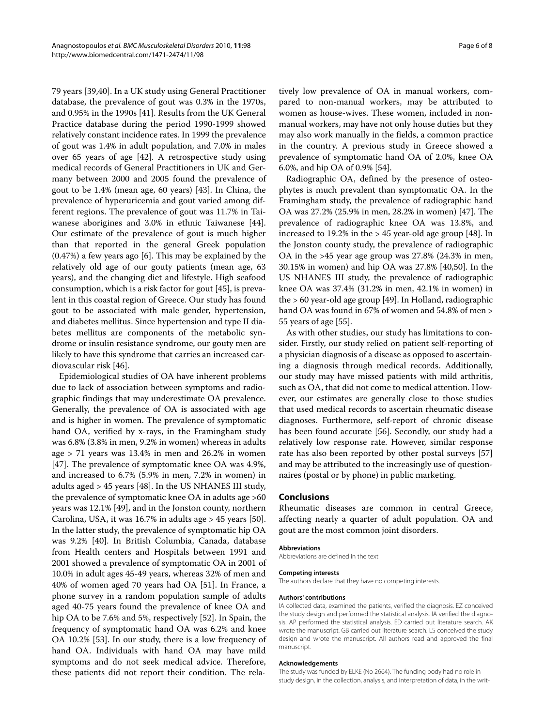79 years [\[39](#page-7-0)[,40](#page-7-1)]. In a UK study using General Practitioner database, the prevalence of gout was 0.3% in the 1970s, and 0.95% in the 1990s [[41\]](#page-7-2). Results from the UK General Practice database during the period 1990-1999 showed relatively constant incidence rates. In 1999 the prevalence of gout was 1.4% in adult population, and 7.0% in males over 65 years of age [[42\]](#page-7-3). A retrospective study using medical records of General Practitioners in UK and Germany between 2000 and 2005 found the prevalence of gout to be 1.4% (mean age, 60 years) [[43](#page-7-4)]. In China, the prevalence of hyperuricemia and gout varied among different regions. The prevalence of gout was 11.7% in Taiwanese aborigines and 3.0% in ethnic Taiwanese [\[44](#page-7-5)]. Our estimate of the prevalence of gout is much higher than that reported in the general Greek population (0.47%) a few years ago [\[6](#page-6-5)]. This may be explained by the relatively old age of our gouty patients (mean age, 63 years), and the changing diet and lifestyle. High seafood consumption, which is a risk factor for gout [\[45](#page-7-6)], is prevalent in this coastal region of Greece. Our study has found gout to be associated with male gender, hypertension, and diabetes mellitus. Since hypertension and type II diabetes mellitus are components of the metabolic syndrome or insulin resistance syndrome, our gouty men are likely to have this syndrome that carries an increased cardiovascular risk [\[46](#page-7-7)].

Epidemiological studies of OA have inherent problems due to lack of association between symptoms and radiographic findings that may underestimate OA prevalence. Generally, the prevalence of OA is associated with age and is higher in women. The prevalence of symptomatic hand OA, verified by x-rays, in the Framingham study was 6.8% (3.8% in men, 9.2% in women) whereas in adults age > 71 years was 13.4% in men and 26.2% in women [[47\]](#page-7-8). The prevalence of symptomatic knee OA was 4.9%, and increased to 6.7% (5.9% in men, 7.2% in women) in adults aged > 45 years [\[48](#page-7-9)]. In the US NHANES III study, the prevalence of symptomatic knee OA in adults age >60 years was 12.1% [\[49](#page-7-10)], and in the Jonston county, northern Carolina, USA, it was 16.7% in adults age > 45 years [\[50](#page-7-11)]. In the latter study, the prevalence of symptomatic hip OA was 9.2% [[40\]](#page-7-1). In British Columbia, Canada, database from Health centers and Hospitals between 1991 and 2001 showed a prevalence of symptomatic OA in 2001 of 10.0% in adult ages 45-49 years, whereas 32% of men and 40% of women aged 70 years had OA [[51\]](#page-7-12). In France, a phone survey in a random population sample of adults aged 40-75 years found the prevalence of knee OA and hip OA to be 7.6% and 5%, respectively [\[52](#page-7-13)]. In Spain, the frequency of symptomatic hand OA was 6.2% and knee OA 10.2% [\[53](#page-7-14)]. In our study, there is a low frequency of hand OA. Individuals with hand OA may have mild symptoms and do not seek medical advice. Therefore, these patients did not report their condition. The rela-

tively low prevalence of OA in manual workers, compared to non-manual workers, may be attributed to women as house-wives. These women, included in nonmanual workers, may have not only house duties but they may also work manually in the fields, a common practice in the country. A previous study in Greece showed a prevalence of symptomatic hand OA of 2.0%, knee OA 6.0%, and hip OA of 0.9% [[54\]](#page-7-15).

Radiographic OA, defined by the presence of osteophytes is much prevalent than symptomatic OA. In the Framingham study, the prevalence of radiographic hand OA was 27.2% (25.9% in men, 28.2% in women) [[47](#page-7-8)]. The prevalence of radiographic knee OA was 13.8%, and increased to 19.2% in the > 45 year-old age group [\[48\]](#page-7-9). In the Jonston county study, the prevalence of radiographic OA in the >45 year age group was 27.8% (24.3% in men, 30.15% in women) and hip OA was 27.8% [[40,](#page-7-1)[50\]](#page-7-11). In the US NHANES III study, the prevalence of radiographic knee OA was 37.4% (31.2% in men, 42.1% in women) in the > 60 year-old age group [[49\]](#page-7-10). In Holland, radiographic hand OA was found in 67% of women and 54.8% of men > 55 years of age [[55\]](#page-7-16).

As with other studies, our study has limitations to consider. Firstly, our study relied on patient self-reporting of a physician diagnosis of a disease as opposed to ascertaining a diagnosis through medical records. Additionally, our study may have missed patients with mild arthritis, such as OA, that did not come to medical attention. However, our estimates are generally close to those studies that used medical records to ascertain rheumatic disease diagnoses. Furthermore, self-report of chronic disease has been found accurate [[56\]](#page-7-17). Secondly, our study had a relatively low response rate. However, similar response rate has also been reported by other postal surveys [[57](#page-7-18)] and may be attributed to the increasingly use of questionnaires (postal or by phone) in public marketing.

### **Conclusions**

Rheumatic diseases are common in central Greece, affecting nearly a quarter of adult population. OA and gout are the most common joint disorders.

#### **Abbreviations**

Abbreviations are defined in the text

#### **Competing interests**

The authors declare that they have no competing interests.

#### **Authors' contributions**

IA collected data, examined the patients, verified the diagnosis. EZ conceived the study design and performed the statistical analysis. IA verified the diagnosis. AP performed the statistical analysis. ED carried out literature search. AK wrote the manuscript. GB carried out literature search. LS conceived the study design and wrote the manuscript. All authors read and approved the final manuscript.

#### **Acknowledgements**

The study was funded by ELKE (No 2664). The funding body had no role in study design, in the collection, analysis, and interpretation of data, in the writ-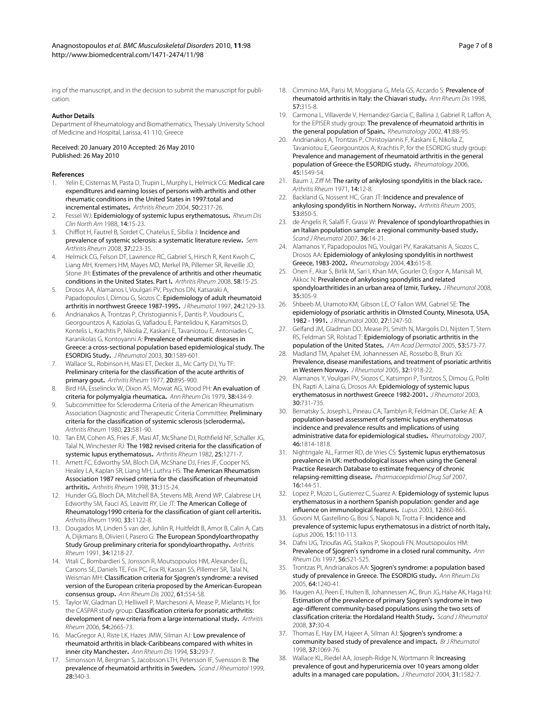#### **Author Details**

Department of Rheumatology and Biomathematics, Thessaly University School of Medicine and Hospital, Larissa, 41 110, Greece

Received: 20 January 2010 Accepted: 26 May 2010 Published: 26 May 2010

#### **References**

- <span id="page-6-0"></span>Yelin E, Cisternas M, Pasta D, Trupin L, Murphy L, Helmick CG: Medical care expenditures and earning losses of persons with arthritis and other rheumatic conditions in the United States in 1997:total and incremental estimates**.** Arthritis Rheum 2004, 50:2317-26.
- <span id="page-6-1"></span>2. Fessel WJ: Epidemiology of systemic lupus erythematosus**.** Rheum Dis Clin North Am 1988, 14:15-23.
- <span id="page-6-2"></span>3. Chifflot H, Fautrel B, Sordet C, Chatelus E, Sibilia J: Incidence and prevalence of systemic sclerosis: a systematic literature review**.** Sem Arthritis Rheum 2008, 37:223-35.
- <span id="page-6-3"></span>4. Helmick CG, Felson DT, Lawrence RC, Gabriel S, Hirsch R, Kent Kwoh C, Liang MH, Kremers HM, Mayes MD, Merkel PA, Pillemer SR, Reveille JD, Stone JH: Estimates of the prevalence of arthritis and other rheumatic conditions in the United States. Part I**[.](http://www.ncbi.nlm.nih.gov/entrez/query.fcgi?cmd=Retrieve&db=PubMed&dopt=Abstract&list_uids=18163481)** Arthritis Rheum 2008, 58:15-25.
- <span id="page-6-4"></span>5. Drosos AA, Alamanos I, Voulgari PV, Psychos DN, Katsaraki A, Papadopoulos I, Dimou G, Siozos C: Epidemiology of adult rheumatoid arthritis in northwest Greece 1987-1995**.** J Rheumatol 1997, 24:2129-33.
- <span id="page-6-5"></span>6. Andrianakos A, Trontzas P, Christogiannis F, Dantis P, Voudouris C, Georgountzos A, Kaziolas G, Vafiadou E, Pantelidou K, Karamitsos D, Kontelis L, Krachtis P, Nikolia Z, Kaskani E, Tavaniotou E, Antoniades C, Karanikolas G, Kontoyanni A: Prevalence of rheumatic diseases in Greece: a cross-sectional population based epidemiological study. The ESORDIG Study**[.](http://www.ncbi.nlm.nih.gov/entrez/query.fcgi?cmd=Retrieve&db=PubMed&dopt=Abstract&list_uids=12858464)** J Rheumatol 2003, 30:1589-601.
- <span id="page-6-6"></span>7. Wallace SL, Robinson H, Masi ET, Decker JL, Mc Carty DJ, Yu TF: Preliminary criteria for the classification of the acute arthritis of primary gout**.** Arthritis Rheum 1977, 20:895-900.
- 8. Bird HA, Esselinckx W, Dixon AS, Mowat AG, Wood PH: An evaluation of criteria for polymyalgia rheumatica**[.](http://www.ncbi.nlm.nih.gov/entrez/query.fcgi?cmd=Retrieve&db=PubMed&dopt=Abstract&list_uids=518143)** Ann Rheum Dis 1979, 38:434-9.
- 9. Subcommittee for Scleroderma Criteria of the American Rheumatism Association Diagnostic and Therapeutic Criteria Committee: Preliminary criteria for the classification of systemic sclerosis (scleroderma)**[.](http://www.ncbi.nlm.nih.gov/entrez/query.fcgi?cmd=Retrieve&db=PubMed&dopt=Abstract&list_uids=7378088)** Arthritis Rheum 1980, 23:581-90.
- 10. Tan EM, Cohen AS, Fries JF, Masi AT, McShane DJ, Rothfield NF, Schaller JG, Talal N, Winchester RJ: The 1982 revised criteria for the classification of systemic lupus erythematosus**.** Arthritis Rheum 1982, 25:1271-7.
- 11. Arnett FC, Edworthy SM, Bloch DA, McShane DJ, Fries JF, Cooper NS, Healey LA, Kaplan SR, Liang MH, Luthra HS: The American Rheumatism Association 1987 revised criteria for the classification of rheumatoid arthritis**.** Arthritis Rheum 1998, 31:315-24.
- 12. Hunder GG, Bloch DA, Mitchell BA, Stevens MB, Arend WP, Calabrese LH, Edworthy SM, Fauci AS, Leavitt RY, Lie JT: The American College of Rheumatology1990 criteria for the classification of giant cell arteritis**.** Arthritis Rheum 1990, 33:1122-8.
- 13. Dougados M, Linden S van der, Juhlin R, Huitfeldt B, Amor B, Calin A, Cats A, Dijkmans B, Olivieri I, Pasero G: The European Spondyloarthropathy Study Group preliminary criteria for spondyloarthropathy**.** Arthritis Rheum 1991, 34:1218-27.
- 14. Vitali C, Bombardieri S, Jonsson R, Moutsopoulos HM, Alexander EL, Carsons SE, Daniels TE, Fox PC, Fox RI, Kassan SS, Pillemer SR, Talal N, Weisman MH: Classification criteria for Sjogren's syndrome: a revised version of the European criteria proposed by the American-European consensus group**.** Ann Rheum Dis 2002, 61:554-58.
- <span id="page-6-7"></span>15. Taylor W, Gladman D, Helliwell P, Marchesoni A, Mease P, Mielants H, for the CASPAR study group: Classification criteria for psoriatic arthritis: development of new criteria from a large international study**.** Arthritis Rheum 2006, 54:2665-73.
- <span id="page-6-8"></span>16. MacGregor AJ, Riste LK, Hazes JMW, Silman AJ: Low prevalence of rheumatoid arthritis in black-Caribbeans compared with whites in inner city Manchester**.** Ann Rheum Dis 1994, 53:293-7.
- <span id="page-6-9"></span>17. Simonsson M, Bergman S, Jacobsson LTH, Petersson IF, Svensson B: The prevalence of rheumatoid arthritis in Sweden**.** Scand J Rheumatol 1999, 28:340-3.
- <span id="page-6-10"></span>18. Cimmino MA, Parisi M, Moggiana G, Mela GS, Accardo S: Prevalence of rheumatoid arthritis in Italy: the Chiavari study**[.](http://www.ncbi.nlm.nih.gov/entrez/query.fcgi?cmd=Retrieve&db=PubMed&dopt=Abstract&list_uids=9741317)** Ann Rheum Dis 1998, 57:315-8.
- <span id="page-6-11"></span>19. Carmona L, Villaverde V, Hernandez-Garcia C, Ballina J, Gabriel R, Laffon A, for the EPISER study group: The prevalence of rheumatoid arthritis in the general population of Spain**[.](http://www.ncbi.nlm.nih.gov/entrez/query.fcgi?cmd=Retrieve&db=PubMed&dopt=Abstract&list_uids=11792885)** Rheumatology 2002, 41:88-95.
- <span id="page-6-12"></span>20. Andrianakos A, Trontzas P, Christoyiannis F, Kaskani E, Nikolia Z, Tavaniotou E, Georgountzos A, Krachtis P, for the ESORDIG study group: Prevalence and management of rheumatoid arthritis in the general population of Greece-the ESORDIG study**.** Rheumatology 2006, 45:1549-54.
- <span id="page-6-13"></span>21. Baum J, Ziff M: The rarity of ankylosing spondylitis in the black race**.** Arthritis Rheum 1971, 14:12-8.
- <span id="page-6-14"></span>22. Backland G, Nossent HC, Gran JT: Incidence and prevalence of ankylosing spondylitis in Northern Norway**.** Arthritis Rheum 2005, 53:850-5.
- <span id="page-6-15"></span>23. de Angelis R, Salalfi F, Grassi W: Prevalence of spondyloarthropathies in an Italian population sample: a regional community-based study**[.](http://www.ncbi.nlm.nih.gov/entrez/query.fcgi?cmd=Retrieve&db=PubMed&dopt=Abstract&list_uids=17454930)** Scand J Rheumatol 2007, 36:14-21.
- <span id="page-6-16"></span>24. Alamanos Y, Papadopoulos NG, Voulgari PV, Karakatsanis A, Siozos C, Drosos AA: Epidemiology of ankylosing spondylitis in northwest Greece, 1983-2002**.** Rheumatology 2004, 43:615-8.
- <span id="page-6-17"></span>25. Onen F, Akar S, Birlik M, Sari I, Khan MA, Gourler O, Ergor A, Manisali M, Akkoc N: Prevalence of ankylosing spondylitis and related spondyloarthritides in an urban area of Izmir, Turkey**.** J Rheumatol 2008, 35:305-9.
- <span id="page-6-18"></span>26. Shbeeb M, Uramoto KM, Gibson LE, O' Fallon WM, Gabriel SE: The epidemiology of psoriatic arthritis in Olmsted County, Minesota, USA, 1982 - 1991**.** J Rheumatol 2000, 27:1247-50.
- <span id="page-6-19"></span>27. Gelfand JM, Gladman DD, Mease PJ, Smith N, Margolis DJ, Nijsten T, Stern RS, Feldman SR, Rolstad T: Epidemiology of psoriatic arthritis in the population of the United States**[.](http://www.ncbi.nlm.nih.gov/entrez/query.fcgi?cmd=Retrieve&db=PubMed&dopt=Abstract&list_uids=16198775)** J Am Acad Dermatol 2005, 53:573-77.
- <span id="page-6-20"></span>28. Madland TM, Apalset EM, Johannessen AE, Rossebo B, Brun JG: Prevalence, disease manifestations, and treatment of psoriatic arthritis in Western Norway**.** J Rheumatol 2005, 32:1918-22.
- <span id="page-6-21"></span>29. Alamanos Y, Voulgari PV, Siozos C, Katsimpri P, Tsintzos S, Dimou G, Politi EN, Rapti A, Laina G, Drosos AA: Epidemiology of systemic lupus erythematosus in northwest Greece 1982-2001**.** J Rheumatol 2003, 30:731-735.
- <span id="page-6-22"></span>30. Bernatsky S, Joseph L, Pineau CA, Tamblyn R, Feldman DE, Clarke AE: A population-based assessment of systemic lupus erythematosus incidence and prevalence results and implications of using administrative data for epidemiological studies**.** Rheumatology 2007, 46:1814-1818.
- <span id="page-6-23"></span>31. Nightngale AL, Farmer RD, de Vries CS: Systemic lupus erythematosus prevalence in UK: methodological issues when using the General Practice Research Database to estimate frequency of chronic relapsing-remitting disease**.** Pharmacoepidimiol Drug Saf 2007, 16:144-51.
- <span id="page-6-24"></span>32. Lopez P, Mozo L, Gutierrez C, Suarez A: Epidemiology of systemic lupus erythematosus in a northern Spanish population: gender and age influence on immunological features**.** Lupus 2003, 12:860-865.
- <span id="page-6-25"></span>33. Govoni M, Gastellino G, Bosi S, Napoli N, Trotta F: Incidence and prevalence of systemic lupus erythematosus in a district of north Italy**.** Lupus 2006, 15:110-113.
- <span id="page-6-26"></span>34. Dafni UG, Tzioufas AG, Staikos P, Skopouli FN, Moutsopoulos HM: Prevalence of Sjogren's syndrome in a closed rural community**[.](http://www.ncbi.nlm.nih.gov/entrez/query.fcgi?cmd=Retrieve&db=PubMed&dopt=Abstract&list_uids=9370875)** Ann Rheum Dis 1997, 56:521-525.
- <span id="page-6-27"></span>35. Trontzas PI, Andrianakos AA: Sjogren's syndrome: a population based study of prevalence in Greece. The ESORDIG study**.** Ann Rheum Dis 2005, 64:1240-41.
- <span id="page-6-28"></span>36. Haugen AJ, Peen E, Hulten B, Johannessen AC, Brun JG, Halse AK, Haga HJ: Estimation of the prevalence of primary Sjogren's syndrome in two age-different community-based populations using the two sets of classification criteria: the Hordaland Health Study**.** Scand J Rheumatol 2008, 37:30-4.
- <span id="page-6-29"></span>37. Thomas E, Hay EM, Hajeer A, Silman AJ: Sjogren's syndrome: a community based study of prevalence and impact**.** Br J Rheumatol 1998, 37:1069-76.
- <span id="page-6-30"></span>38. Wallace KL, Riedel AA, Joseph-Ridge N, Wortmann R: Increasing prevalence of gout and hyperuricemia over 10 years among older adults in a managed care population**.** J Rheumatol 2004, 31:1582-7.